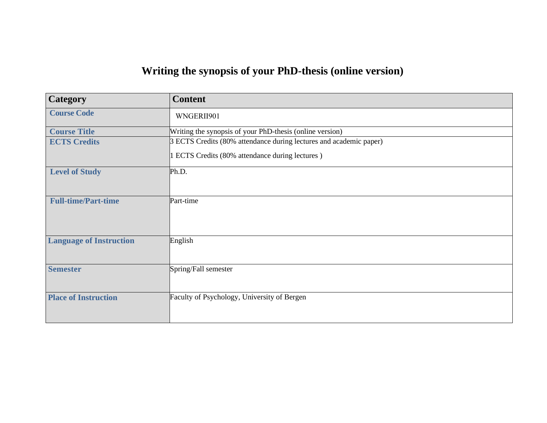## **Writing the synopsis of your PhD-thesis (online version)**

| <b>Category</b>                | <b>Content</b>                                                     |
|--------------------------------|--------------------------------------------------------------------|
| <b>Course Code</b>             | WNGERII901                                                         |
| <b>Course Title</b>            | Writing the synopsis of your PhD-thesis (online version)           |
| <b>ECTS Credits</b>            | 3 ECTS Credits (80% attendance during lectures and academic paper) |
|                                | 1 ECTS Credits (80% attendance during lectures)                    |
| <b>Level of Study</b>          | Ph.D.                                                              |
|                                |                                                                    |
| <b>Full-time/Part-time</b>     | Part-time                                                          |
|                                |                                                                    |
|                                |                                                                    |
| <b>Language of Instruction</b> | English                                                            |
|                                |                                                                    |
| <b>Semester</b>                | Spring/Fall semester                                               |
|                                |                                                                    |
| <b>Place of Instruction</b>    | Faculty of Psychology, University of Bergen                        |
|                                |                                                                    |
|                                |                                                                    |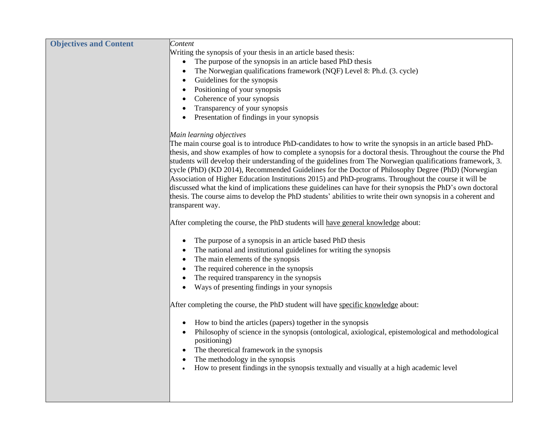| <b>Objectives and Content</b> | Content                                                                                                                                                                                                                                                                                                                                                                                                                                                                                                                                                                                                                                                                                                                                                                                                    |
|-------------------------------|------------------------------------------------------------------------------------------------------------------------------------------------------------------------------------------------------------------------------------------------------------------------------------------------------------------------------------------------------------------------------------------------------------------------------------------------------------------------------------------------------------------------------------------------------------------------------------------------------------------------------------------------------------------------------------------------------------------------------------------------------------------------------------------------------------|
|                               | Writing the synopsis of your thesis in an article based thesis:                                                                                                                                                                                                                                                                                                                                                                                                                                                                                                                                                                                                                                                                                                                                            |
|                               | The purpose of the synopsis in an article based PhD thesis                                                                                                                                                                                                                                                                                                                                                                                                                                                                                                                                                                                                                                                                                                                                                 |
|                               | The Norwegian qualifications framework (NQF) Level 8: Ph.d. (3. cycle)<br>$\bullet$                                                                                                                                                                                                                                                                                                                                                                                                                                                                                                                                                                                                                                                                                                                        |
|                               | Guidelines for the synopsis<br>٠                                                                                                                                                                                                                                                                                                                                                                                                                                                                                                                                                                                                                                                                                                                                                                           |
|                               | Positioning of your synopsis<br>$\bullet$                                                                                                                                                                                                                                                                                                                                                                                                                                                                                                                                                                                                                                                                                                                                                                  |
|                               | Coherence of your synopsis                                                                                                                                                                                                                                                                                                                                                                                                                                                                                                                                                                                                                                                                                                                                                                                 |
|                               | Transparency of your synopsis                                                                                                                                                                                                                                                                                                                                                                                                                                                                                                                                                                                                                                                                                                                                                                              |
|                               | Presentation of findings in your synopsis                                                                                                                                                                                                                                                                                                                                                                                                                                                                                                                                                                                                                                                                                                                                                                  |
|                               | Main learning objectives                                                                                                                                                                                                                                                                                                                                                                                                                                                                                                                                                                                                                                                                                                                                                                                   |
|                               | The main course goal is to introduce PhD-candidates to how to write the synopsis in an article based PhD-<br>thesis, and show examples of how to complete a synopsis for a doctoral thesis. Throughout the course the Phd<br>students will develop their understanding of the guidelines from The Norwegian qualifications framework, 3.<br>cycle (PhD) (KD 2014), Recommended Guidelines for the Doctor of Philosophy Degree (PhD) (Norwegian<br>Association of Higher Education Institutions 2015) and PhD-programs. Throughout the course it will be<br>discussed what the kind of implications these guidelines can have for their synopsis the PhD's own doctoral<br>thesis. The course aims to develop the PhD students' abilities to write their own synopsis in a coherent and<br>transparent way. |
|                               | After completing the course, the PhD students will have general knowledge about:                                                                                                                                                                                                                                                                                                                                                                                                                                                                                                                                                                                                                                                                                                                           |
|                               | The purpose of a synopsis in an article based PhD thesis<br>$\bullet$                                                                                                                                                                                                                                                                                                                                                                                                                                                                                                                                                                                                                                                                                                                                      |
|                               | The national and institutional guidelines for writing the synopsis                                                                                                                                                                                                                                                                                                                                                                                                                                                                                                                                                                                                                                                                                                                                         |
|                               | The main elements of the synopsis                                                                                                                                                                                                                                                                                                                                                                                                                                                                                                                                                                                                                                                                                                                                                                          |
|                               | The required coherence in the synopsis                                                                                                                                                                                                                                                                                                                                                                                                                                                                                                                                                                                                                                                                                                                                                                     |
|                               | The required transparency in the synopsis                                                                                                                                                                                                                                                                                                                                                                                                                                                                                                                                                                                                                                                                                                                                                                  |
|                               | Ways of presenting findings in your synopsis                                                                                                                                                                                                                                                                                                                                                                                                                                                                                                                                                                                                                                                                                                                                                               |
|                               | After completing the course, the PhD student will have specific knowledge about:                                                                                                                                                                                                                                                                                                                                                                                                                                                                                                                                                                                                                                                                                                                           |
|                               | How to bind the articles (papers) together in the synopsis                                                                                                                                                                                                                                                                                                                                                                                                                                                                                                                                                                                                                                                                                                                                                 |
|                               | Philosophy of science in the synopsis (ontological, axiological, epistemological and methodological<br>positioning)<br>The theoretical framework in the synopsis                                                                                                                                                                                                                                                                                                                                                                                                                                                                                                                                                                                                                                           |
|                               | The methodology in the synopsis                                                                                                                                                                                                                                                                                                                                                                                                                                                                                                                                                                                                                                                                                                                                                                            |
|                               | How to present findings in the synopsis textually and visually at a high academic level                                                                                                                                                                                                                                                                                                                                                                                                                                                                                                                                                                                                                                                                                                                    |
|                               |                                                                                                                                                                                                                                                                                                                                                                                                                                                                                                                                                                                                                                                                                                                                                                                                            |
|                               |                                                                                                                                                                                                                                                                                                                                                                                                                                                                                                                                                                                                                                                                                                                                                                                                            |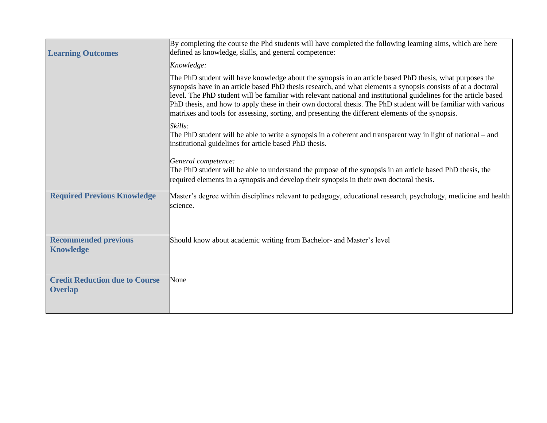| <b>Learning Outcomes</b>                                | By completing the course the Phd students will have completed the following learning aims, which are here<br>defined as knowledge, skills, and general competence:                                                                                                                                                                                                                                                                                                                                                                                                    |
|---------------------------------------------------------|-----------------------------------------------------------------------------------------------------------------------------------------------------------------------------------------------------------------------------------------------------------------------------------------------------------------------------------------------------------------------------------------------------------------------------------------------------------------------------------------------------------------------------------------------------------------------|
|                                                         | Knowledge:                                                                                                                                                                                                                                                                                                                                                                                                                                                                                                                                                            |
|                                                         | The PhD student will have knowledge about the synopsis in an article based PhD thesis, what purposes the<br>synopsis have in an article based PhD thesis research, and what elements a synopsis consists of at a doctoral<br>level. The PhD student will be familiar with relevant national and institutional guidelines for the article based<br>PhD thesis, and how to apply these in their own doctoral thesis. The PhD student will be familiar with various<br>matrixes and tools for assessing, sorting, and presenting the different elements of the synopsis. |
|                                                         | Skills:<br>The PhD student will be able to write a synopsis in a coherent and transparent way in light of national – and<br>institutional guidelines for article based PhD thesis.                                                                                                                                                                                                                                                                                                                                                                                    |
|                                                         | General competence:<br>The PhD student will be able to understand the purpose of the synopsis in an article based PhD thesis, the<br>required elements in a synopsis and develop their synopsis in their own doctoral thesis.                                                                                                                                                                                                                                                                                                                                         |
| <b>Required Previous Knowledge</b>                      | Master's degree within disciplines relevant to pedagogy, educational research, psychology, medicine and health<br>science.                                                                                                                                                                                                                                                                                                                                                                                                                                            |
| <b>Recommended previous</b><br><b>Knowledge</b>         | Should know about academic writing from Bachelor- and Master's level                                                                                                                                                                                                                                                                                                                                                                                                                                                                                                  |
| <b>Credit Reduction due to Course</b><br><b>Overlap</b> | None                                                                                                                                                                                                                                                                                                                                                                                                                                                                                                                                                                  |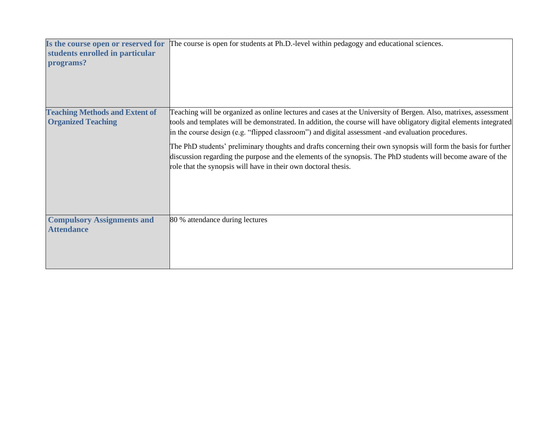| Is the course open or reserved for<br>students enrolled in particular<br>programs? | The course is open for students at Ph.D.-level within pedagogy and educational sciences.                                                                                                                                                                                                                                                                                                                                                                                                                                                                                                                                                          |
|------------------------------------------------------------------------------------|---------------------------------------------------------------------------------------------------------------------------------------------------------------------------------------------------------------------------------------------------------------------------------------------------------------------------------------------------------------------------------------------------------------------------------------------------------------------------------------------------------------------------------------------------------------------------------------------------------------------------------------------------|
| <b>Teaching Methods and Extent of</b><br><b>Organized Teaching</b>                 | Teaching will be organized as online lectures and cases at the University of Bergen. Also, matrixes, assessment<br>tools and templates will be demonstrated. In addition, the course will have obligatory digital elements integrated<br>in the course design (e.g. "flipped classroom") and digital assessment - and evaluation procedures.<br>The PhD students' preliminary thoughts and drafts concerning their own synopsis will form the basis for further<br>discussion regarding the purpose and the elements of the synopsis. The PhD students will become aware of the<br>role that the synopsis will have in their own doctoral thesis. |
| <b>Compulsory Assignments and</b><br><b>Attendance</b>                             | 80 % attendance during lectures                                                                                                                                                                                                                                                                                                                                                                                                                                                                                                                                                                                                                   |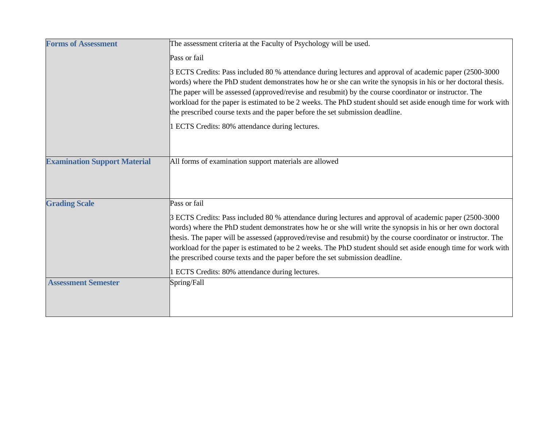| <b>Forms of Assessment</b>          | The assessment criteria at the Faculty of Psychology will be used.                                                                                                                                                                                                                                                                                                                                                                                                                                                                                                                      |
|-------------------------------------|-----------------------------------------------------------------------------------------------------------------------------------------------------------------------------------------------------------------------------------------------------------------------------------------------------------------------------------------------------------------------------------------------------------------------------------------------------------------------------------------------------------------------------------------------------------------------------------------|
|                                     | Pass or fail                                                                                                                                                                                                                                                                                                                                                                                                                                                                                                                                                                            |
|                                     | 3 ECTS Credits: Pass included 80 % attendance during lectures and approval of academic paper (2500-3000<br>words) where the PhD student demonstrates how he or she can write the synopsis in his or her doctoral thesis.<br>The paper will be assessed (approved/revise and resubmit) by the course coordinator or instructor. The<br>workload for the paper is estimated to be 2 weeks. The PhD student should set aside enough time for work with<br>the prescribed course texts and the paper before the set submission deadline.<br>1 ECTS Credits: 80% attendance during lectures. |
| <b>Examination Support Material</b> | All forms of examination support materials are allowed                                                                                                                                                                                                                                                                                                                                                                                                                                                                                                                                  |
| <b>Grading Scale</b>                | Pass or fail                                                                                                                                                                                                                                                                                                                                                                                                                                                                                                                                                                            |
|                                     | 3 ECTS Credits: Pass included 80 % attendance during lectures and approval of academic paper (2500-3000)<br>words) where the PhD student demonstrates how he or she will write the synopsis in his or her own doctoral<br>thesis. The paper will be assessed (approved/revise and resubmit) by the course coordinator or instructor. The<br>workload for the paper is estimated to be 2 weeks. The PhD student should set aside enough time for work with<br>the prescribed course texts and the paper before the set submission deadline.                                              |
|                                     | 1 ECTS Credits: 80% attendance during lectures.                                                                                                                                                                                                                                                                                                                                                                                                                                                                                                                                         |
| <b>Assessment Semester</b>          | Spring/Fall                                                                                                                                                                                                                                                                                                                                                                                                                                                                                                                                                                             |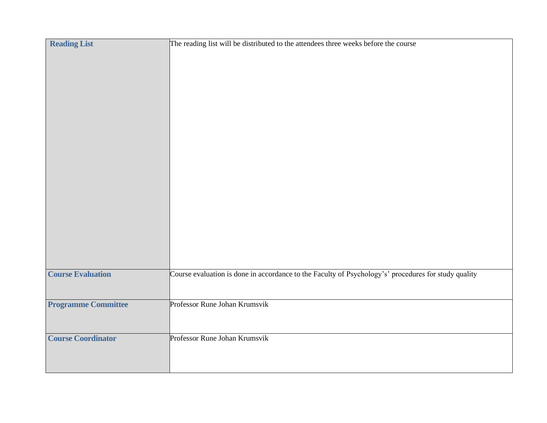| <b>Reading List</b>        | The reading list will be distributed to the attendees three weeks before the course                  |
|----------------------------|------------------------------------------------------------------------------------------------------|
| <b>Course Evaluation</b>   | Course evaluation is done in accordance to the Faculty of Psychology's' procedures for study quality |
| <b>Programme Committee</b> | Professor Rune Johan Krumsvik                                                                        |
| <b>Course Coordinator</b>  | Professor Rune Johan Krumsvik                                                                        |